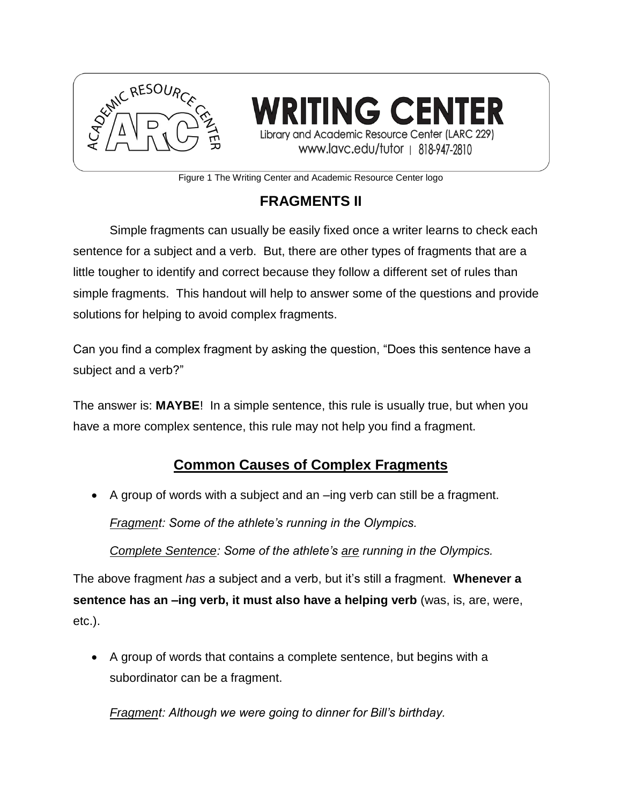

**/RITING CENTER** Library and Academic Resource Center (LARC 229) www.lavc.edu/tutor | 818-947-2810

Figure 1 The Writing Center and Academic Resource Center logo

# **FRAGMENTS II**

Simple fragments can usually be easily fixed once a writer learns to check each sentence for a subject and a verb. But, there are other types of fragments that are a little tougher to identify and correct because they follow a different set of rules than simple fragments. This handout will help to answer some of the questions and provide solutions for helping to avoid complex fragments.

Can you find a complex fragment by asking the question, "Does this sentence have a subject and a verb?"

The answer is: **MAYBE**! In a simple sentence, this rule is usually true, but when you have a more complex sentence, this rule may not help you find a fragment.

## **Common Causes of Complex Fragments**

A group of words with a subject and an –ing verb can still be a fragment.

*Fragment: Some of the athlete's running in the Olympics.*

*Complete Sentence: Some of the athlete's are running in the Olympics.*

The above fragment *has* a subject and a verb, but it's still a fragment. **Whenever a sentence has an –ing verb, it must also have a helping verb** (was, is, are, were, etc.).

 A group of words that contains a complete sentence, but begins with a subordinator can be a fragment.

*Fragment: Although we were going to dinner for Bill's birthday.*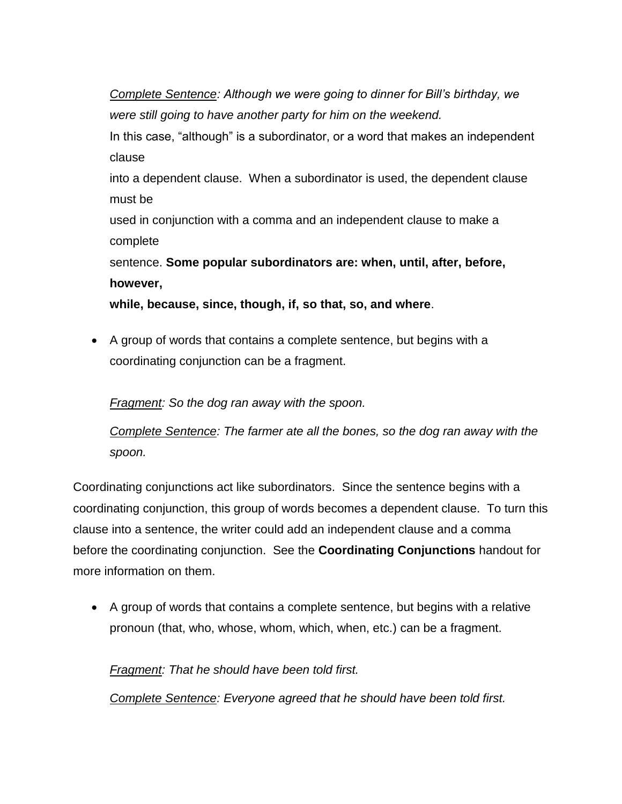*Complete Sentence: Although we were going to dinner for Bill's birthday, we were still going to have another party for him on the weekend.*

In this case, "although" is a subordinator, or a word that makes an independent clause

into a dependent clause. When a subordinator is used, the dependent clause must be

used in conjunction with a comma and an independent clause to make a complete

sentence. **Some popular subordinators are: when, until, after, before, however,** 

**while, because, since, though, if, so that, so, and where**.

 A group of words that contains a complete sentence, but begins with a coordinating conjunction can be a fragment.

*Fragment: So the dog ran away with the spoon.*

*Complete Sentence: The farmer ate all the bones, so the dog ran away with the spoon.*

Coordinating conjunctions act like subordinators. Since the sentence begins with a coordinating conjunction, this group of words becomes a dependent clause. To turn this clause into a sentence, the writer could add an independent clause and a comma before the coordinating conjunction. See the **Coordinating Conjunctions** handout for more information on them.

 A group of words that contains a complete sentence, but begins with a relative pronoun (that, who, whose, whom, which, when, etc.) can be a fragment.

*Fragment: That he should have been told first.*

*Complete Sentence: Everyone agreed that he should have been told first.*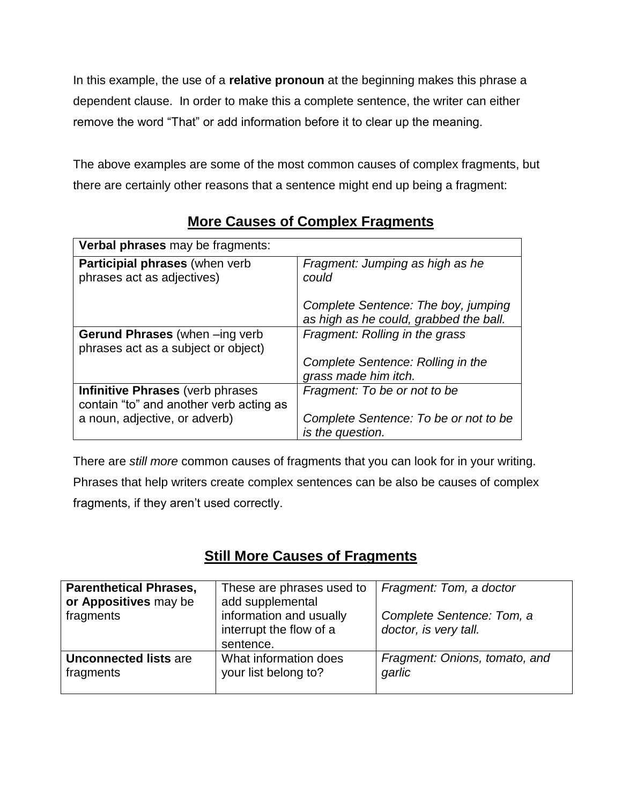In this example, the use of a **relative pronoun** at the beginning makes this phrase a dependent clause. In order to make this a complete sentence, the writer can either remove the word "That" or add information before it to clear up the meaning.

The above examples are some of the most common causes of complex fragments, but there are certainly other reasons that a sentence might end up being a fragment:

| <b>Verbal phrases</b> may be fragments:                                            |                                                                               |  |  |
|------------------------------------------------------------------------------------|-------------------------------------------------------------------------------|--|--|
| <b>Participial phrases</b> (when verb)<br>phrases act as adjectives)               | Fragment: Jumping as high as he<br>could                                      |  |  |
|                                                                                    | Complete Sentence: The boy, jumping<br>as high as he could, grabbed the ball. |  |  |
| <b>Gerund Phrases</b> (when -ing verb<br>phrases act as a subject or object)       | Fragment: Rolling in the grass                                                |  |  |
|                                                                                    | Complete Sentence: Rolling in the<br>grass made him itch.                     |  |  |
| <b>Infinitive Phrases</b> (verb phrases<br>contain "to" and another verb acting as | Fragment: To be or not to be                                                  |  |  |
| a noun, adjective, or adverb)                                                      | Complete Sentence: To be or not to be<br>is the question.                     |  |  |

## **More Causes of Complex Fragments**

There are *still more* common causes of fragments that you can look for in your writing.

Phrases that help writers create complex sentences can be also be causes of complex fragments, if they aren't used correctly.

## **Still More Causes of Fragments**

| <b>Parenthetical Phrases,</b><br>or Appositives may be<br>fragments | These are phrases used to<br>add supplemental<br>information and usually<br>interrupt the flow of a<br>sentence. | Fragment: Tom, a doctor<br>Complete Sentence: Tom, a<br>doctor, is very tall. |
|---------------------------------------------------------------------|------------------------------------------------------------------------------------------------------------------|-------------------------------------------------------------------------------|
| <b>Unconnected lists are</b>                                        | What information does                                                                                            | Fragment: Onions, tomato, and                                                 |
| fragments                                                           | your list belong to?                                                                                             | garlic                                                                        |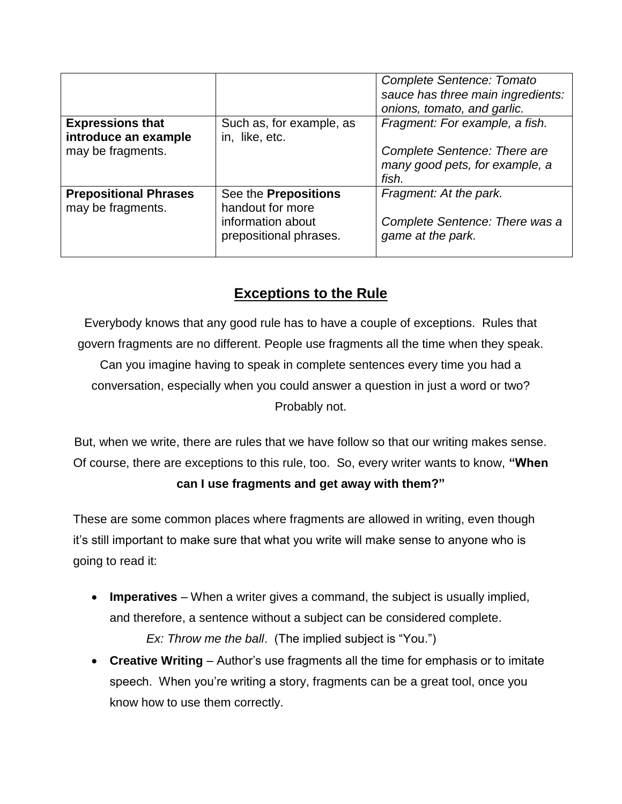|                                                   |                                                                                         | <b>Complete Sentence: Tomato</b><br>sauce has three main ingredients:<br>onions, tomato, and garlic. |
|---------------------------------------------------|-----------------------------------------------------------------------------------------|------------------------------------------------------------------------------------------------------|
| <b>Expressions that</b><br>introduce an example   | Such as, for example, as<br>in, like, etc.                                              | Fragment: For example, a fish.                                                                       |
| may be fragments.                                 |                                                                                         | Complete Sentence: There are<br>many good pets, for example, a<br>fish.                              |
| <b>Prepositional Phrases</b><br>may be fragments. | See the Prepositions<br>handout for more<br>information about<br>prepositional phrases. | Fragment: At the park.<br>Complete Sentence: There was a<br>game at the park.                        |

## **Exceptions to the Rule**

Everybody knows that any good rule has to have a couple of exceptions. Rules that govern fragments are no different. People use fragments all the time when they speak. Can you imagine having to speak in complete sentences every time you had a conversation, especially when you could answer a question in just a word or two? Probably not.

But, when we write, there are rules that we have follow so that our writing makes sense. Of course, there are exceptions to this rule, too. So, every writer wants to know, **"When can I use fragments and get away with them?"**

These are some common places where fragments are allowed in writing, even though it's still important to make sure that what you write will make sense to anyone who is going to read it:

- **Imperatives** When a writer gives a command, the subject is usually implied, and therefore, a sentence without a subject can be considered complete. *Ex: Throw me the ball*. (The implied subject is "You.")
- **Creative Writing** Author's use fragments all the time for emphasis or to imitate speech. When you're writing a story, fragments can be a great tool, once you know how to use them correctly.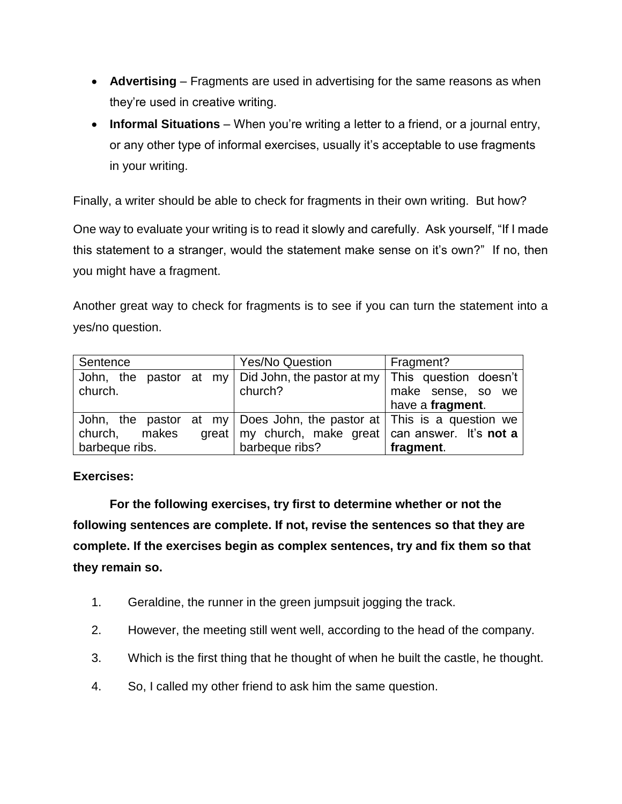- **Advertising** Fragments are used in advertising for the same reasons as when they're used in creative writing.
- **Informal Situations** When you're writing a letter to a friend, or a journal entry, or any other type of informal exercises, usually it's acceptable to use fragments in your writing.

Finally, a writer should be able to check for fragments in their own writing. But how?

One way to evaluate your writing is to read it slowly and carefully. Ask yourself, "If I made this statement to a stranger, would the statement make sense on it's own?" If no, then you might have a fragment.

Another great way to check for fragments is to see if you can turn the statement into a yes/no question.

| Sentence                                                                              | <b>Yes/No Question</b>                                        | Fragment?         |
|---------------------------------------------------------------------------------------|---------------------------------------------------------------|-------------------|
| John, the pastor at my   Did John, the pastor at my   This question doesn't           |                                                               |                   |
| church.                                                                               | church?                                                       | make sense, so we |
|                                                                                       |                                                               | have a fragment.  |
| John, the pastor at my $\vert$ Does John, the pastor at $\vert$ This is a question we |                                                               |                   |
| makes<br>church,                                                                      | great   my church, make great   can answer. It's <b>not a</b> |                   |
| barbeque ribs.                                                                        | barbeque ribs?                                                | fragment.         |

#### **Exercises:**

**For the following exercises, try first to determine whether or not the following sentences are complete. If not, revise the sentences so that they are complete. If the exercises begin as complex sentences, try and fix them so that they remain so.**

- 1. Geraldine, the runner in the green jumpsuit jogging the track.
- 2. However, the meeting still went well, according to the head of the company.
- 3. Which is the first thing that he thought of when he built the castle, he thought.
- 4. So, I called my other friend to ask him the same question.